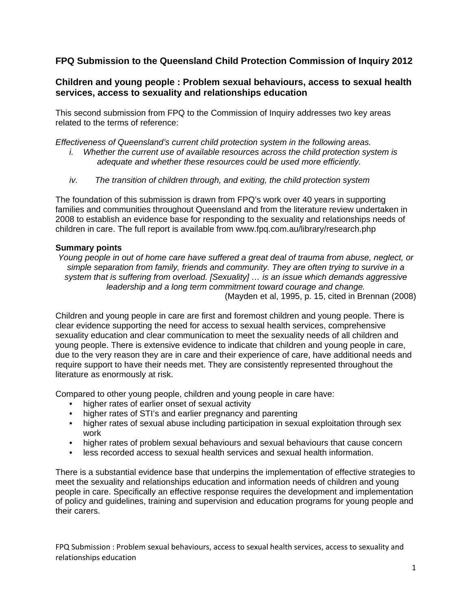## **FPQ Submission to the Queensland Child Protection Commission of Inquiry 2012**

## **Children and young people : Problem sexual behaviours, access to sexual health services, access to sexuality and relationships education**

This second submission from FPQ to the Commission of Inquiry addresses two key areas related to the terms of reference:

*Effectiveness of Queensland's current child protection system in the following areas.* 

- *i. Whether the current use of available resources across the child protection system is adequate and whether these resources could be used more efficiently.*
- *iv. The transition of children through, and exiting, the child protection system*

The foundation of this submission is drawn from FPQ's work over 40 years in supporting families and communities throughout Queensland and from the literature review undertaken in 2008 to establish an evidence base for responding to the sexuality and relationships needs of children in care. The full report is available from www.fpq.com.au/library/research.php

#### **Summary points**

*Young people in out of home care have suffered a great deal of trauma from abuse, neglect, or simple separation from family, friends and community. They are often trying to survive in a system that is suffering from overload. [Sexuality] … is an issue which demands aggressive leadership and a long term commitment toward courage and change.*  (Mayden et al, 1995, p. 15, cited in Brennan (2008)

Children and young people in care are first and foremost children and young people. There is clear evidence supporting the need for access to sexual health services, comprehensive sexuality education and clear communication to meet the sexuality needs of all children and young people. There is extensive evidence to indicate that children and young people in care, due to the very reason they are in care and their experience of care, have additional needs and require support to have their needs met. They are consistently represented throughout the literature as enormously at risk.

Compared to other young people, children and young people in care have:

- higher rates of earlier onset of sexual activity
- higher rates of STI's and earlier pregnancy and parenting
- higher rates of sexual abuse including participation in sexual exploitation through sex work
- higher rates of problem sexual behaviours and sexual behaviours that cause concern
- less recorded access to sexual health services and sexual health information.

There is a substantial evidence base that underpins the implementation of effective strategies to meet the sexuality and relationships education and information needs of children and young people in care. Specifically an effective response requires the development and implementation of policy and guidelines, training and supervision and education programs for young people and their carers.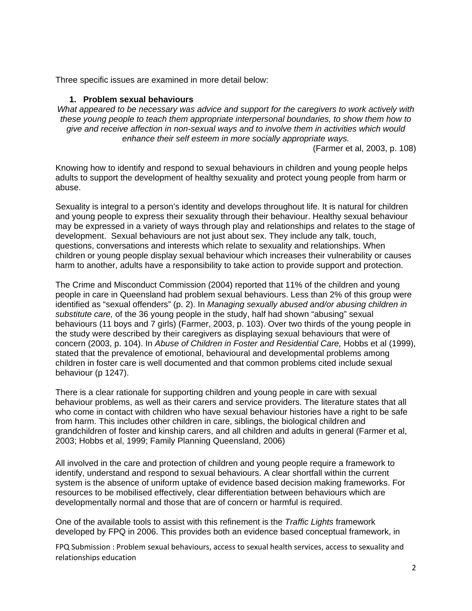Three specific issues are examined in more detail below:

#### **1. Problem sexual behaviours**

*What appeared to be necessary was advice and support for the caregivers to work actively with these young people to teach them appropriate interpersonal boundaries, to show them how to give and receive affection in non-sexual ways and to involve them in activities which would enhance their self esteem in more socially appropriate ways.* 

(Farmer et al, 2003, p. 108)

Knowing how to identify and respond to sexual behaviours in children and young people helps adults to support the development of healthy sexuality and protect young people from harm or abuse.

Sexuality is integral to a person's identity and develops throughout life. It is natural for children and young people to express their sexuality through their behaviour. Healthy sexual behaviour may be expressed in a variety of ways through play and relationships and relates to the stage of development. Sexual behaviours are not just about sex. They include any talk, touch, questions, conversations and interests which relate to sexuality and relationships. When children or young people display sexual behaviour which increases their vulnerability or causes harm to another, adults have a responsibility to take action to provide support and protection.

The Crime and Misconduct Commission (2004) reported that 11% of the children and young people in care in Queensland had problem sexual behaviours. Less than 2% of this group were identified as "sexual offenders" (p. 2). In *Managing sexually abused and/or abusing children in substitute care,* of the 36 young people in the study, half had shown "abusing" sexual behaviours (11 boys and 7 girls) (Farmer, 2003, p. 103). Over two thirds of the young people in the study were described by their caregivers as displaying sexual behaviours that were of concern (2003, p. 104). In *Abuse of Children in Foster and Residential Care,* Hobbs et al (1999), stated that the prevalence of emotional, behavioural and developmental problems among children in foster care is well documented and that common problems cited include sexual behaviour (p 1247).

There is a clear rationale for supporting children and young people in care with sexual behaviour problems, as well as their carers and service providers. The literature states that all who come in contact with children who have sexual behaviour histories have a right to be safe from harm. This includes other children in care, siblings, the biological children and grandchildren of foster and kinship carers, and all children and adults in general (Farmer et al, 2003; Hobbs et al, 1999; Family Planning Queensland, 2006)

All involved in the care and protection of children and young people require a framework to identify, understand and respond to sexual behaviours. A clear shortfall within the current system is the absence of uniform uptake of evidence based decision making frameworks. For resources to be mobilised effectively, clear differentiation between behaviours which are developmentally normal and those that are of concern or harmful is required.

One of the available tools to assist with this refinement is the *Traffic Lights* framework developed by FPQ in 2006. This provides both an evidence based conceptual framework, in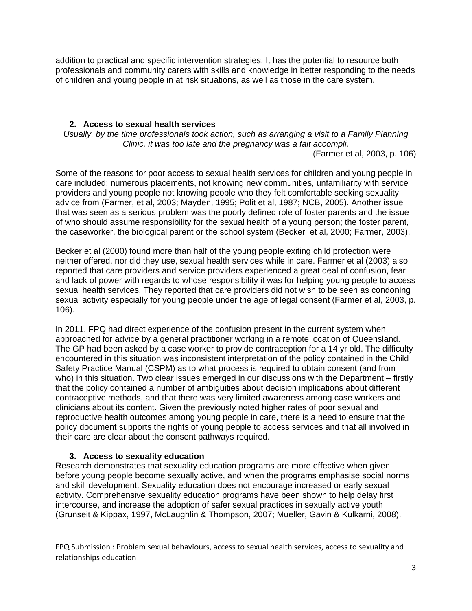addition to practical and specific intervention strategies. It has the potential to resource both professionals and community carers with skills and knowledge in better responding to the needs of children and young people in at risk situations, as well as those in the care system.

### **2. Access to sexual health services**

*Usually, by the time professionals took action, such as arranging a visit to a Family Planning Clinic, it was too late and the pregnancy was a fait accompli.* 

(Farmer et al, 2003, p. 106)

Some of the reasons for poor access to sexual health services for children and young people in care included: numerous placements, not knowing new communities, unfamiliarity with service providers and young people not knowing people who they felt comfortable seeking sexuality advice from (Farmer, et al, 2003; Mayden, 1995; Polit et al, 1987; NCB, 2005). Another issue that was seen as a serious problem was the poorly defined role of foster parents and the issue of who should assume responsibility for the sexual health of a young person; the foster parent, the caseworker, the biological parent or the school system (Becker et al, 2000; Farmer, 2003).

Becker et al (2000) found more than half of the young people exiting child protection were neither offered, nor did they use, sexual health services while in care. Farmer et al (2003) also reported that care providers and service providers experienced a great deal of confusion, fear and lack of power with regards to whose responsibility it was for helping young people to access sexual health services. They reported that care providers did not wish to be seen as condoning sexual activity especially for young people under the age of legal consent (Farmer et al, 2003, p. 106).

In 2011, FPQ had direct experience of the confusion present in the current system when approached for advice by a general practitioner working in a remote location of Queensland. The GP had been asked by a case worker to provide contraception for a 14 yr old. The difficulty encountered in this situation was inconsistent interpretation of the policy contained in the Child Safety Practice Manual (CSPM) as to what process is required to obtain consent (and from who) in this situation. Two clear issues emerged in our discussions with the Department – firstly that the policy contained a number of ambiguities about decision implications about different contraceptive methods, and that there was very limited awareness among case workers and clinicians about its content. Given the previously noted higher rates of poor sexual and reproductive health outcomes among young people in care, there is a need to ensure that the policy document supports the rights of young people to access services and that all involved in their care are clear about the consent pathways required.

#### **3. Access to sexuality education**

Research demonstrates that sexuality education programs are more effective when given before young people become sexually active, and when the programs emphasise social norms and skill development. Sexuality education does not encourage increased or early sexual activity. Comprehensive sexuality education programs have been shown to help delay first intercourse, and increase the adoption of safer sexual practices in sexually active youth (Grunseit & Kippax, 1997, McLaughlin & Thompson, 2007; Mueller, Gavin & Kulkarni, 2008).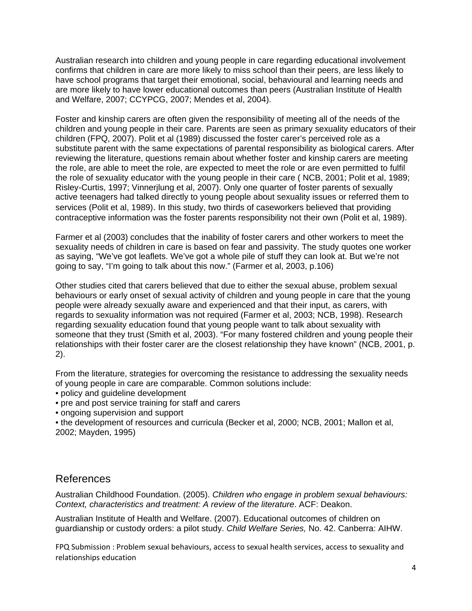Australian research into children and young people in care regarding educational involvement confirms that children in care are more likely to miss school than their peers, are less likely to have school programs that target their emotional, social, behavioural and learning needs and are more likely to have lower educational outcomes than peers (Australian Institute of Health and Welfare, 2007; CCYPCG, 2007; Mendes et al, 2004).

Foster and kinship carers are often given the responsibility of meeting all of the needs of the children and young people in their care. Parents are seen as primary sexuality educators of their children (FPQ, 2007). Polit et al (1989) discussed the foster carer's perceived role as a substitute parent with the same expectations of parental responsibility as biological carers. After reviewing the literature, questions remain about whether foster and kinship carers are meeting the role, are able to meet the role, are expected to meet the role or are even permitted to fulfil the role of sexuality educator with the young people in their care ( NCB, 2001; Polit et al, 1989; Risley-Curtis, 1997; Vinnerjlung et al, 2007). Only one quarter of foster parents of sexually active teenagers had talked directly to young people about sexuality issues or referred them to services (Polit et al, 1989). In this study, two thirds of caseworkers believed that providing contraceptive information was the foster parents responsibility not their own (Polit et al, 1989).

Farmer et al (2003) concludes that the inability of foster carers and other workers to meet the sexuality needs of children in care is based on fear and passivity. The study quotes one worker as saying, "We've got leaflets. We've got a whole pile of stuff they can look at. But we're not going to say, "I'm going to talk about this now." (Farmer et al, 2003, p.106)

Other studies cited that carers believed that due to either the sexual abuse, problem sexual behaviours or early onset of sexual activity of children and young people in care that the young people were already sexually aware and experienced and that their input, as carers, with regards to sexuality information was not required (Farmer et al, 2003; NCB, 1998). Research regarding sexuality education found that young people want to talk about sexuality with someone that they trust (Smith et al, 2003). "For many fostered children and young people their relationships with their foster carer are the closest relationship they have known" (NCB, 2001, p. 2).

From the literature, strategies for overcoming the resistance to addressing the sexuality needs of young people in care are comparable. Common solutions include:

- policy and guideline development
- pre and post service training for staff and carers
- ongoing supervision and support

• the development of resources and curricula (Becker et al, 2000; NCB, 2001; Mallon et al, 2002; Mayden, 1995)

# References

Australian Childhood Foundation. (2005). *Children who engage in problem sexual behaviours: Context, characteristics and treatment: A review of the literature*. ACF: Deakon.

Australian Institute of Health and Welfare. (2007). Educational outcomes of children on guardianship or custody orders: a pilot study. *Child Welfare Series,* No. 42. Canberra: AIHW.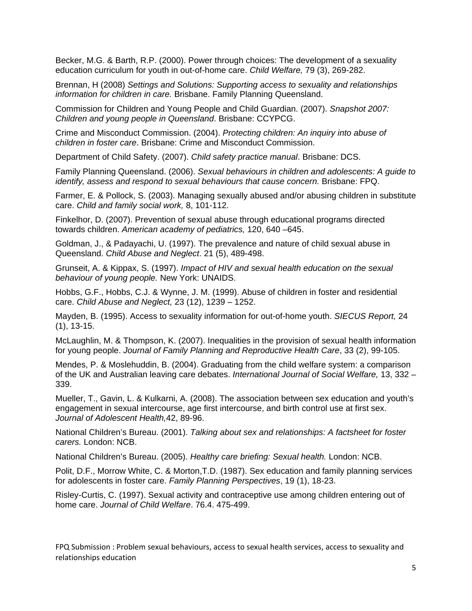Becker, M.G. & Barth, R.P. (2000). Power through choices: The development of a sexuality education curriculum for youth in out-of-home care. *Child Welfare,* 79 (3), 269-282.

Brennan, H (2008) *Settings and Solutions: Supporting access to sexuality and relationships information for children in care.* Brisbane. Family Planning Queensland.

Commission for Children and Young People and Child Guardian. (2007). *Snapshot 2007: Children and young people in Queensland*. Brisbane: CCYPCG.

Crime and Misconduct Commission. (2004). *Protecting children: An inquiry into abuse of children in foster care*. Brisbane: Crime and Misconduct Commission.

Department of Child Safety. (2007). *Child safety practice manual*. Brisbane: DCS.

Family Planning Queensland. (2006). *Sexual behaviours in children and adolescents: A guide to identify, assess and respond to sexual behaviours that cause concern.* Brisbane: FPQ.

Farmer, E. & Pollock, S. (2003). Managing sexually abused and/or abusing children in substitute care. *Child and family social work,* 8, 101-112.

Finkelhor, D. (2007). Prevention of sexual abuse through educational programs directed towards children. *American academy of pediatrics,* 120, 640 –645.

Goldman, J., & Padayachi, U. (1997). The prevalence and nature of child sexual abuse in Queensland. *Child Abuse and Neglect*. 21 (5), 489-498.

Grunseit, A. & Kippax, S. (1997). *Impact of HIV and sexual health education on the sexual behaviour of young people.* New York: UNAIDS.

Hobbs, G.F., Hobbs, C.J. & Wynne, J. M. (1999). Abuse of children in foster and residential care. *Child Abuse and Neglect,* 23 (12), 1239 – 1252.

Mayden, B. (1995). Access to sexuality information for out-of-home youth. *SIECUS Report,* 24 (1), 13-15.

McLaughlin, M. & Thompson, K. (2007). Inequalities in the provision of sexual health information for young people. *Journal of Family Planning and Reproductive Health Care*, 33 (2), 99-105.

Mendes, P. & Moslehuddin, B. (2004). Graduating from the child welfare system: a comparison of the UK and Australian leaving care debates. *International Journal of Social Welfare,* 13, 332 – 339.

Mueller, T., Gavin, L. & Kulkarni, A. (2008). The association between sex education and youth's engagement in sexual intercourse, age first intercourse, and birth control use at first sex. *Journal of Adolescent Health,*42, 89-96.

National Children's Bureau. (2001). *Talking about sex and relationships: A factsheet for foster carers.* London: NCB.

National Children's Bureau. (2005). *Healthy care briefing: Sexual health.* London: NCB.

Polit, D.F., Morrow White, C. & Morton,T.D. (1987). Sex education and family planning services for adolescents in foster care. *Family Planning Perspectives*, 19 (1), 18-23.

Risley-Curtis, C. (1997). Sexual activity and contraceptive use among children entering out of home care. *Journal of Child Welfare*. 76.4. 475-499.